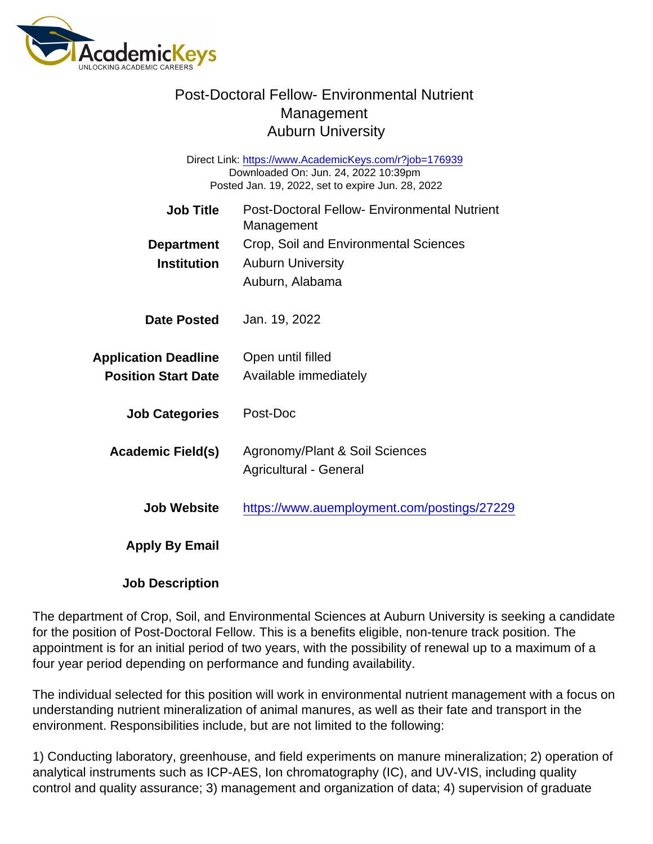## Post-Doctoral Fellow- Environmental Nutrient Management Auburn University

Direct Link: <https://www.AcademicKeys.com/r?job=176939> Downloaded On: Jun. 24, 2022 10:39pm Posted Jan. 19, 2022, set to expire Jun. 28, 2022

| Job Title                                                 | <b>Post-Doctoral Fellow- Environmental Nutrient</b><br>Management                    |
|-----------------------------------------------------------|--------------------------------------------------------------------------------------|
| Department<br>Institution                                 | Crop, Soil and Environmental Sciences<br><b>Auburn University</b><br>Auburn, Alabama |
| Date Posted                                               | Jan. 19, 2022                                                                        |
| <b>Application Deadline</b><br><b>Position Start Date</b> | Open until filled<br>Available immediately                                           |
| <b>Job Categories</b>                                     | Post-Doc                                                                             |
| Academic Field(s)                                         | Agronomy/Plant & Soil Sciences<br>Agricultural - General                             |
| Job Website                                               | https://www.auemployment.com/postings/27229                                          |
| Apply By Email                                            |                                                                                      |

Job Description

The department of Crop, Soil, and Environmental Sciences at Auburn University is seeking a candidate for the position of Post-Doctoral Fellow. This is a benefits eligible, non-tenure track position. The appointment is for an initial period of two years, with the possibility of renewal up to a maximum of a four year period depending on performance and funding availability.

The individual selected for this position will work in environmental nutrient management with a focus on understanding nutrient mineralization of animal manures, as well as their fate and transport in the environment. Responsibilities include, but are not limited to the following:

1) Conducting laboratory, greenhouse, and field experiments on manure mineralization; 2) operation of analytical instruments such as ICP-AES, Ion chromatography (IC), and UV-VIS, including quality control and quality assurance; 3) management and organization of data; 4) supervision of graduate